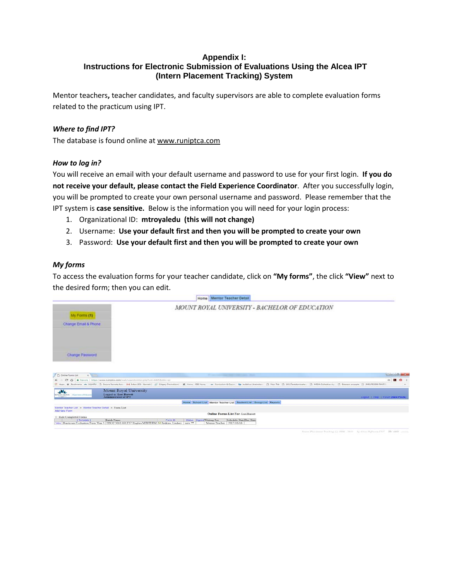## **Appendix I: Instructions for Electronic Submission of Evaluations Using the Alcea IPT (Intern Placement Tracking) System**

Mentor teachers**,** teacher candidates, and faculty supervisors are able to complete evaluation forms related to the practicum using IPT.

## *Where to find IPT?*

The database is found online at [www.runiptca.com](http://www.runiptca.com/)

#### *How to log in?*

You will receive an email with your default username and password to use for your first login. **If you do not receive your default, please contact the Field Experience Coordinator**. After you successfully login, you will be prompted to create your own personal username and password. Please remember that the IPT system is **case sensitive.** Below is the information you will need for your login process:

- 1. Organizational ID: **mtroyaledu (this will not change)**
- 2. Username: **Use your default first and then you will be prompted to create your own**
- 3. Password: **Use your default first and then you will be prompted to create your own**

#### *My forms*

To access the evaluation forms for your teacher candidate, click on **"My forms"**, the click **"View"** next to the desired form; then you can edit.



by stress Nothamp ELC 1D-44dX